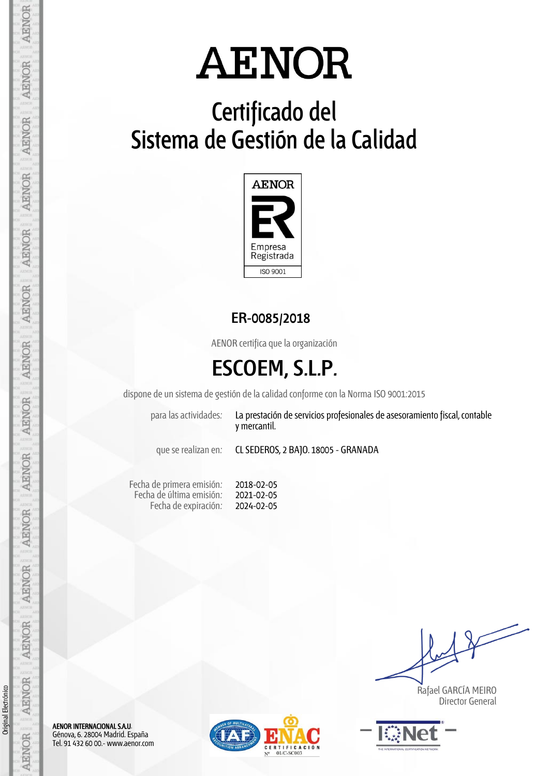# **Certificado del Sistema de Gestión de la Calidad**



### **ER-0085/2018**

AENOR certifica que la organización

## **ESCOEM, S.L.P.**

dispone de un sistema de gestión de la calidad conforme con la Norma ISO 9001:2015

2018-02-05 2021-02-05 2024-02-05

para las actividades: La prestación de servicios profesionales de asesoramiento fiscal, contable y mercantil.

que se realizan en: CL SEDEROS, 2 BAJO. 18005 - GRANADA

Fecha de primera emisión: Fecha de última emisión: Fecha de expiración:

 Rafael GARCÍA MEIRO Director General



AENOR INTERNACIONAL S.A.U. Génova, 6. 28004 Madrid. España Tel. 91 432 60 00.- www.aenor.com



Original Electrónico

Original Electrónico